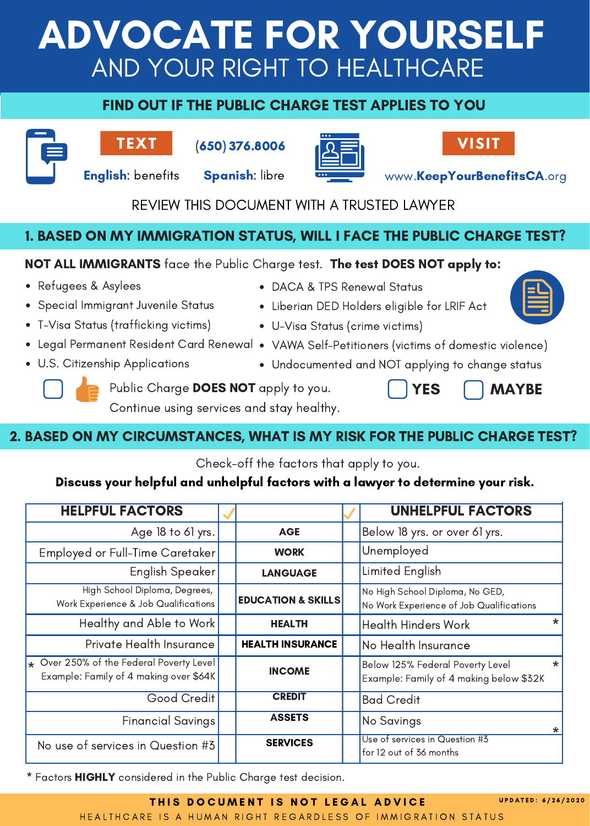# ADVOCATE FOR YOURSELF AND YOUR RIGHT TO HEALTHCARE

## FIND OUT IF THE PUBLIC CHARGE TEST APPLIES TO YOU



**TEXT**

English: benefits Spanish: libre

(650) 376.8006





www.KeepYourBenefitsCA.org

YES | MAYBE

## REVIEW THIS DOCUMENT WITH A TRUSTED LAWYER

## 1. BASED ON MY IMMIGRATION STATUS, WILL I FACE THE PUBLIC CHARGE TEST?

## NOT ALL IMMIGRANTS face the Public Charge test. The test DOES NOT apply to:

- Refugees & Asylees
- Special Immigrant Juvenile Status
- T-Visa Status (trafficking victims)
- 
- U.S. Citizenship Applications
- DACA & TPS Renewal Status
- Liberian DED Holders eligible for LRIF Act
- U-Visa Status (crime victims)
- Legal Permanent Resident Card Renewal VAWA Self-Petitioners (victims of domestic violence)
	- Undocumented and NOT applying to change status



Public Charge DOES NOT apply to you.

Continue using services and stay healthy.

## 2. BASED ON MY CIRCUMSTANCES, WHAT IS MY RISK FOR THE PUBLIC CHARGE TEST?

Check-off the factors that apply to you.

#### Discuss your helpful and unhelpful factors with a lawyer to determine your risk.

| <b>HELPFUL FACTORS</b>                                                           |                               | <b>UNHELPFUL FACTORS</b>                                                    |  |
|----------------------------------------------------------------------------------|-------------------------------|-----------------------------------------------------------------------------|--|
| Age 18 to 61 yrs.                                                                | <b>AGE</b>                    | Below 18 yrs. or over 61 yrs.                                               |  |
| Employed or Full-Time Caretaker                                                  | <b>WORK</b>                   | Unemployed                                                                  |  |
| English Speaker                                                                  | <b>LANGUAGE</b>               | Limited English                                                             |  |
| High School Diploma, Degrees,<br>Work Experience & Job Qualifications            | <b>EDUCATION &amp; SKILLS</b> | No High School Diploma, No GED,<br>No Work Experience of Job Qualifications |  |
| Healthy and Able to Work                                                         | <b>HEALTH</b>                 | Health Hinders Work                                                         |  |
| Private Health Insurance                                                         | <b>HEALTH INSURANCE</b>       | No Health Insurance                                                         |  |
| Over 250% of the Federal Poverty Level<br>Example: Family of 4 making over \$64K | <b>INCOME</b>                 | Below 125% Federal Poverty Level<br>Example: Family of 4 making below \$32K |  |
| Good Credit                                                                      | <b>CREDIT</b>                 | <b>Bad Credit</b>                                                           |  |
| <b>Financial Savings</b>                                                         | <b>ASSETS</b>                 | No Savings                                                                  |  |
| No use of services in Question #3                                                | <b>SERVICES</b>               | Use of services in Question #3<br>for 12 out of 36 months                   |  |

\* Factors HIGHLY considered in the Public Charge test decision.